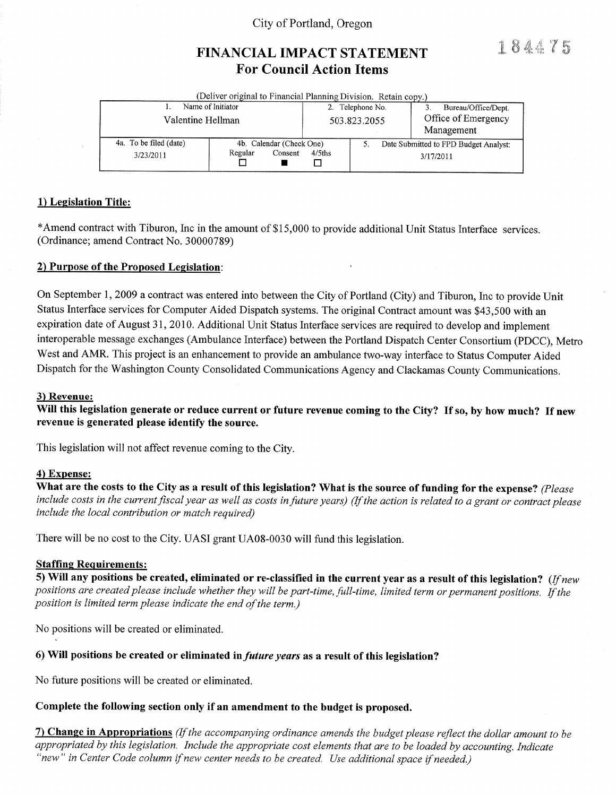## City of Portland, Oregon

# FINANCIAL IMPACT STATEMENT **For Council Action Items**

184475

|                                 | (Deliver original to Financial Planning Division. Retain copy.) |              |                     |                                       |  |
|---------------------------------|-----------------------------------------------------------------|--------------|---------------------|---------------------------------------|--|
| Name of Initiator               | Telephone No.                                                   |              | Bureau/Office/Dept. |                                       |  |
| Valentine Hellman               |                                                                 | 503.823.2055 |                     | Office of Emergency                   |  |
|                                 |                                                                 |              |                     | Management                            |  |
| 4a. To be filed (date)          | 4b. Calendar (Check One)                                        |              |                     | Date Submitted to FPD Budget Analyst: |  |
| Regular<br>Consent<br>3/23/2011 |                                                                 | $4/5$ ths    |                     | 3/17/2011                             |  |

#### 1) Legislation Title:

\*Amend contract with Tiburon, Inc in the amount of \$15,000 to provide additional Unit Status Interface services. (Ordinance; amend Contract No. 30000789)

#### 2) Purpose of the Proposed Legislation:

On September 1, 2009 a contract was entered into between the City of Portland (City) and Tiburon, Inc to provide Unit Status Interface services for Computer Aided Dispatch systems. The original Contract amount was \$43,500 with an expiration date of August 31, 2010. Additional Unit Status Interface services are required to develop and implement interoperable message exchanges (Ambulance Interface) between the Portland Dispatch Center Consortium (PDCC), Metro West and AMR. This project is an enhancement to provide an ambulance two-way interface to Status Computer Aided Dispatch for the Washington County Consolidated Communications Agency and Clackamas County Communications.

#### 3) Revenue:

Will this legislation generate or reduce current or future revenue coming to the City? If so, by how much? If new revenue is generated please identify the source.

This legislation will not affect revenue coming to the City.

#### 4) Expense:

What are the costs to the City as a result of this legislation? What is the source of funding for the expense? (Please include costs in the current fiscal year as well as costs in future years) (If the action is related to a grant or contract please include the local contribution or match required)

There will be no cost to the City. UASI grant UA08-0030 will fund this legislation.

#### **Staffing Requirements:**

5) Will any positions be created, eliminated or re-classified in the current year as a result of this legislation? (If new positions are created please include whether they will be part-time, full-time, limited term or permanent positions. If the position is limited term please indicate the end of the term.)

No positions will be created or eliminated.

#### 6) Will positions be created or eliminated in *future years* as a result of this legislation?

No future positions will be created or eliminated.

#### Complete the following section only if an amendment to the budget is proposed.

7) Change in Appropriations (If the accompanying ordinance amends the budget please reflect the dollar amount to be appropriated by this legislation. Include the appropriate cost elements that are to be loaded by accounting. Indicate "new" in Center Code column if new center needs to be created. Use additional space if needed.)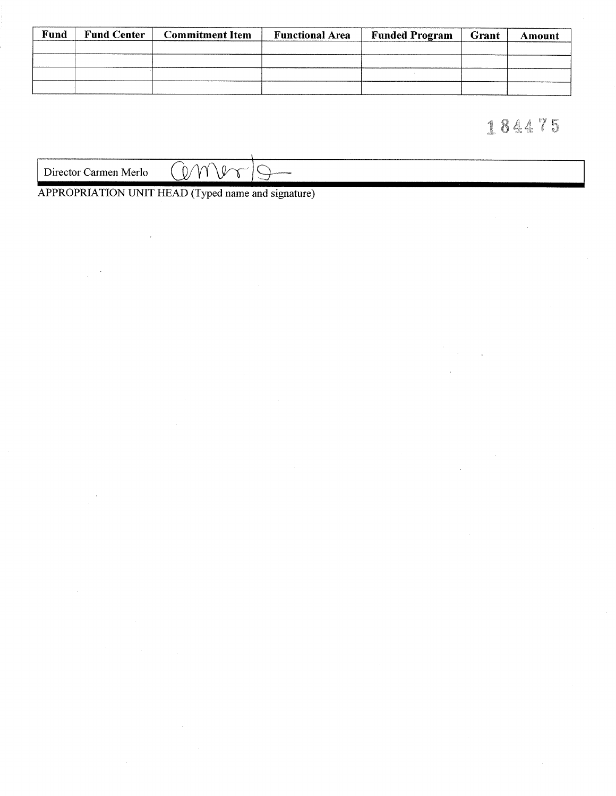| Fund | <b>Fund Center</b><br><b>Commitment Item</b> |  | <b>Functional Area</b> | <b>Funded Program</b> | Grant | Amount |  |
|------|----------------------------------------------|--|------------------------|-----------------------|-------|--------|--|
|      |                                              |  |                        |                       |       |        |  |
|      |                                              |  |                        |                       |       |        |  |
|      |                                              |  |                        |                       |       |        |  |
|      |                                              |  |                        |                       |       |        |  |

# 184475

| Merlo<br>Director<br>∠armen | -400 500 440<br>17<br>., |  |  |  |
|-----------------------------|--------------------------|--|--|--|
|                             |                          |  |  |  |
|                             |                          |  |  |  |

APPROPRIATION UNIT HEAD (Typed name and signature)